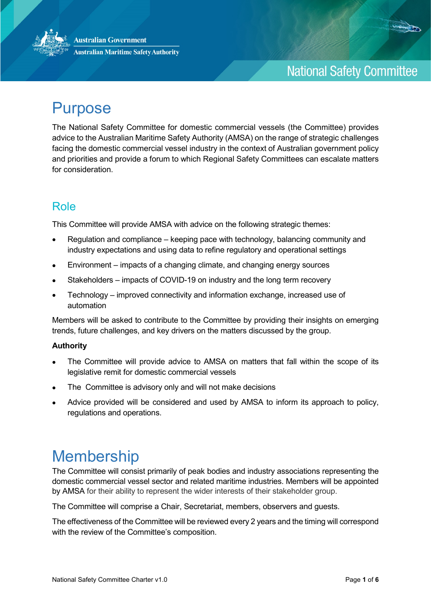



## **National Safety Committee**

# Purpose

The National Safety Committee for domestic commercial vessels (the Committee) provides advice to the Australian Maritime Safety Authority (AMSA) on the range of strategic challenges facing the domestic commercial vessel industry in the context of Australian government policy and priorities and provide a forum to which Regional Safety Committees can escalate matters for consideration.

## Role

This Committee will provide AMSA with advice on the following strategic themes:

- Regulation and compliance keeping pace with technology, balancing community and industry expectations and using data to refine regulatory and operational settings
- Environment impacts of a changing climate, and changing energy sources
- Stakeholders impacts of COVID-19 on industry and the long term recovery
- Technology improved connectivity and information exchange, increased use of automation

Members will be asked to contribute to the Committee by providing their insights on emerging trends, future challenges, and key drivers on the matters discussed by the group.

#### **Authority**

- The Committee will provide advice to AMSA on matters that fall within the scope of its legislative remit for domestic commercial vessels
- The Committee is advisory only and will not make decisions
- Advice provided will be considered and used by AMSA to inform its approach to policy, regulations and operations.

# Membership

The Committee will consist primarily of peak bodies and industry associations representing the domestic commercial vessel sector and related maritime industries. Members will be appointed by AMSA for their ability to represent the wider interests of their stakeholder group.

The Committee will comprise a Chair, Secretariat, members, observers and guests.

The effectiveness of the Committee will be reviewed every 2 years and the timing will correspond with the review of the Committee's composition.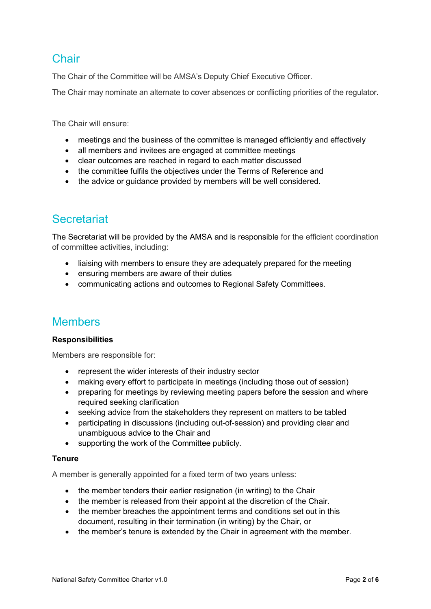### **Chair**

The Chair of the Committee will be AMSA's Deputy Chief Executive Officer.

The Chair may nominate an alternate to cover absences or conflicting priorities of the regulator.

The Chair will ensure:

- meetings and the business of the committee is managed efficiently and effectively
- all members and invitees are engaged at committee meetings
- clear outcomes are reached in regard to each matter discussed
- the committee fulfils the objectives under the Terms of Reference and
- the advice or quidance provided by members will be well considered.

### **Secretariat**

The Secretariat will be provided by the AMSA and is responsible for the efficient coordination of committee activities, including:

- liaising with members to ensure they are adequately prepared for the meeting
- ensuring members are aware of their duties
- communicating actions and outcomes to Regional Safety Committees.

### Members

#### **Responsibilities**

Members are responsible for:

- represent the wider interests of their industry sector
- making every effort to participate in meetings (including those out of session)
- preparing for meetings by reviewing meeting papers before the session and where required seeking clarification
- seeking advice from the stakeholders they represent on matters to be tabled
- participating in discussions (including out-of-session) and providing clear and unambiguous advice to the Chair and
- supporting the work of the Committee publicly.

#### **Tenure**

A member is generally appointed for a fixed term of two years unless:

- the member tenders their earlier resignation (in writing) to the Chair
- the member is released from their appoint at the discretion of the Chair.
- the member breaches the appointment terms and conditions set out in this document, resulting in their termination (in writing) by the Chair, or
- the member's tenure is extended by the Chair in agreement with the member.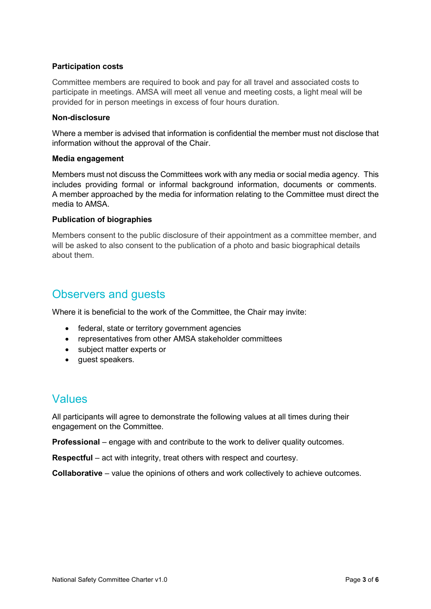#### **Participation costs**

Committee members are required to book and pay for all travel and associated costs to participate in meetings. AMSA will meet all venue and meeting costs, a light meal will be provided for in person meetings in excess of four hours duration.

#### **Non-disclosure**

Where a member is advised that information is confidential the member must not disclose that information without the approval of the Chair.

#### **Media engagement**

Members must not discuss the Committees work with any media or social media agency. This includes providing formal or informal background information, documents or comments. A member approached by the media for information relating to the Committee must direct the media to AMSA.

#### **Publication of biographies**

Members consent to the public disclosure of their appointment as a committee member, and will be asked to also consent to the publication of a photo and basic biographical details about them.

### Observers and guests

Where it is beneficial to the work of the Committee, the Chair may invite:

- federal, state or territory government agencies
- representatives from other AMSA stakeholder committees
- subject matter experts or
- guest speakers.

### Values

All participants will agree to demonstrate the following values at all times during their engagement on the Committee.

**Professional** – engage with and contribute to the work to deliver quality outcomes.

**Respectful** – act with integrity, treat others with respect and courtesy.

**Collaborative** – value the opinions of others and work collectively to achieve outcomes.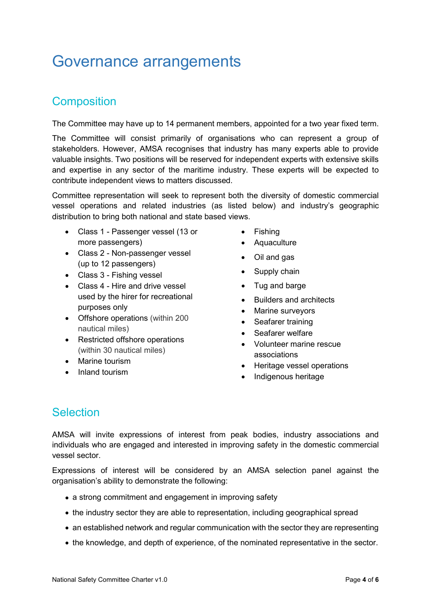# Governance arrangements

### **Composition**

The Committee may have up to 14 permanent members, appointed for a two year fixed term.

The Committee will consist primarily of organisations who can represent a group of stakeholders. However, AMSA recognises that industry has many experts able to provide valuable insights. Two positions will be reserved for independent experts with extensive skills and expertise in any sector of the maritime industry. These experts will be expected to contribute independent views to matters discussed.

Committee representation will seek to represent both the diversity of domestic commercial vessel operations and related industries (as listed below) and industry's geographic distribution to bring both national and state based views.

- Class 1 Passenger vessel (13 or more passengers)
- Class 2 Non-passenger vessel (up to 12 passengers)
- Class 3 Fishing vessel
- Class 4 Hire and drive vessel used by the hirer for recreational purposes only
- Offshore operations (within 200 nautical miles)
- Restricted offshore operations (within 30 nautical miles)
- Marine tourism
- Inland tourism
- Fishing
- Aquaculture
- Oil and gas
- Supply chain
- Tug and barge
- Builders and architects
- Marine surveyors
- Seafarer training
- Seafarer welfare
- Volunteer marine rescue associations
- Heritage vessel operations
- Indigenous heritage

### Selection

AMSA will invite expressions of interest from peak bodies, industry associations and individuals who are engaged and interested in improving safety in the domestic commercial vessel sector.

Expressions of interest will be considered by an AMSA selection panel against the organisation's ability to demonstrate the following:

- a strong commitment and engagement in improving safety
- the industry sector they are able to representation, including geographical spread
- an established network and regular communication with the sector they are representing
- the knowledge, and depth of experience, of the nominated representative in the sector.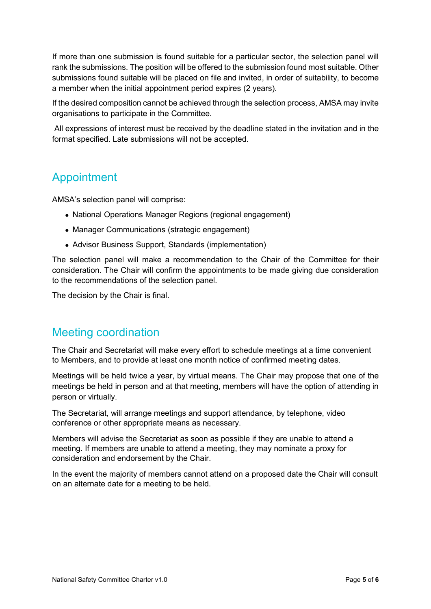If more than one submission is found suitable for a particular sector, the selection panel will rank the submissions. The position will be offered to the submission found most suitable. Other submissions found suitable will be placed on file and invited, in order of suitability, to become a member when the initial appointment period expires (2 years).

If the desired composition cannot be achieved through the selection process, AMSA may invite organisations to participate in the Committee.

All expressions of interest must be received by the deadline stated in the invitation and in the format specified. Late submissions will not be accepted.

### Appointment

AMSA's selection panel will comprise:

- National Operations Manager Regions (regional engagement)
- Manager Communications (strategic engagement)
- Advisor Business Support, Standards (implementation)

The selection panel will make a recommendation to the Chair of the Committee for their consideration. The Chair will confirm the appointments to be made giving due consideration to the recommendations of the selection panel.

The decision by the Chair is final.

### Meeting coordination

The Chair and Secretariat will make every effort to schedule meetings at a time convenient to Members, and to provide at least one month notice of confirmed meeting dates.

Meetings will be held twice a year, by virtual means. The Chair may propose that one of the meetings be held in person and at that meeting, members will have the option of attending in person or virtually.

The Secretariat, will arrange meetings and support attendance, by telephone, video conference or other appropriate means as necessary.

Members will advise the Secretariat as soon as possible if they are unable to attend a meeting. If members are unable to attend a meeting, they may nominate a proxy for consideration and endorsement by the Chair.

In the event the majority of members cannot attend on a proposed date the Chair will consult on an alternate date for a meeting to be held.